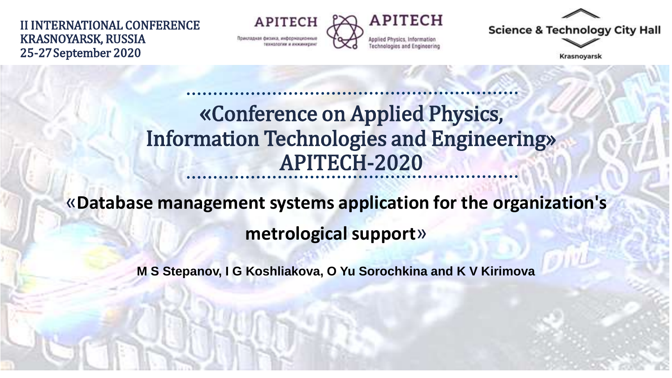II INTERNATIONAL CONFERENCE KRASNOYARSK, RUSSIA 25-27September 2020

**APITECH** Прикладкая физика, информационны



**Science & Technology City Hall** 

**Krasnoyarsk** 

### «Conference on Applied Physics, Information Technologies and Engineering» APITECH-2020

# «**Database management systems application for the organization's**

**metrological support**»

**M S Stepanov, I G Koshliakova, O Yu Sorochkina and K V Kirimova**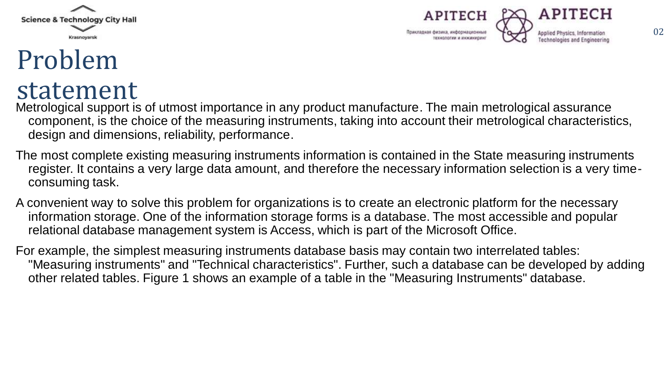



# Problem



Metrological support is of utmost importance in any product manufacture. The main metrological assurance component, is the choice of the measuring instruments, taking into account their metrological characteristics, design and dimensions, reliability, performance.

- The most complete existing measuring instruments information is contained in the State measuring instruments register. It contains a very large data amount, and therefore the necessary information selection is a very timeconsuming task.
- A convenient way to solve this problem for organizations is to create an electronic platform for the necessary information storage. One of the information storage forms is a database. The most accessible and popular relational database management system is Access, which is part of the Microsoft Office.

For example, the simplest measuring instruments database basis may contain two interrelated tables: "Measuring instruments" and "Technical characteristics". Further, such a database can be developed by adding other related tables. Figure 1 shows an example of a table in the "Measuring Instruments" database.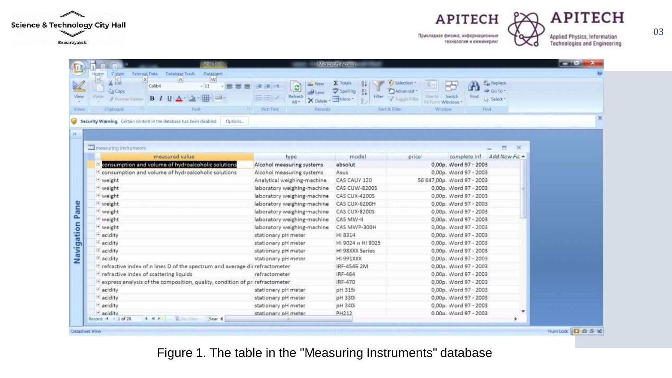





Applied Physics, Information **Technologies and Engineering** 

|  | Datasheet<br>Create<br><b>External Data</b><br>Database Tools<br>Home<br>W.<br>$\mathbf{x}$<br> A <br>H<br>$x -$<br>Calibri<br>$-11$<br>=======<br>A Copy<br>Paite<br>B/I<br>Format Painter<br>Clipboard<br>m.<br>Fiarit | Miniosoft Arcess<br> 漢 读  椎<br><b>Save</b><br>Refresh<br>X Delete<br>$AM -$<br><b>Rich Test</b><br>Records | $\Sigma$ Totals<br>Spelling<br>Filter<br><b>Hill More</b> | G Selection<br>Advanced -<br>Size to Switch<br>Topple Filter<br>Fili Farmi Windows<br>Window<br>Sort & Filter | <b>Page Replace</b><br>$\Rightarrow$ Go To $=$<br>Find<br>Li Select *<br>Finit |          |
|--|--------------------------------------------------------------------------------------------------------------------------------------------------------------------------------------------------------------------------|------------------------------------------------------------------------------------------------------------|-----------------------------------------------------------|---------------------------------------------------------------------------------------------------------------|--------------------------------------------------------------------------------|----------|
|  | Security Warning Certain content in the database has been disabled<br>Options                                                                                                                                            |                                                                                                            |                                                           |                                                                                                               |                                                                                |          |
|  |                                                                                                                                                                                                                          |                                                                                                            |                                                           |                                                                                                               |                                                                                |          |
|  | THE measuring instruments                                                                                                                                                                                                |                                                                                                            |                                                           |                                                                                                               | Ξ                                                                              | $\times$ |
|  | measured value                                                                                                                                                                                                           | type                                                                                                       | model                                                     | price                                                                                                         | Add New Fie<br>complete inf                                                    |          |
|  | consumption and volume of hydroalcoholic solutions                                                                                                                                                                       | Alcohol measuring systems                                                                                  | absolut                                                   |                                                                                                               | 0,00p. Word 97 - 2003                                                          |          |
|  | <sup>+</sup> consumption and volume of hydroalcoholic solutions                                                                                                                                                          | Alcohol measuring systems                                                                                  | Asus                                                      |                                                                                                               | 0,00p. Word 97 - 2003                                                          |          |
|  | * weight                                                                                                                                                                                                                 | Analytical weighing-machine                                                                                | CAS CAUY 120                                              |                                                                                                               | 56 647,00p. Word 97 - 2003                                                     |          |
|  | * weight                                                                                                                                                                                                                 | laboratory weighing-machine                                                                                | CAS CUW-8200S                                             |                                                                                                               | 0,00p. Word 97 - 2003                                                          |          |
|  | <sup>+</sup> weight                                                                                                                                                                                                      | laboratory weighing-machine                                                                                | <b>CAS CUX-4200S</b>                                      |                                                                                                               | 0,00p. Word 97 - 2003                                                          |          |
|  | * weight                                                                                                                                                                                                                 | laboratory weighing-machine                                                                                | CAS CUX-6200H                                             |                                                                                                               | 0,00p. Word 97 - 2003                                                          |          |
|  | <sup>t</sup> weight                                                                                                                                                                                                      | laboratory weighing-machine                                                                                | CAS CUX-8200S                                             |                                                                                                               | 0,00p. Word 97 - 2003                                                          |          |
|  | <sup>t</sup> weight                                                                                                                                                                                                      | laboratory weighing-machine                                                                                | CAS MW-II                                                 |                                                                                                               | 0,00p. Word 97 - 2003                                                          |          |
|  | + weight                                                                                                                                                                                                                 | laboratory weighing-machine                                                                                | CAS MWP-300H                                              |                                                                                                               | 0,00p. Word 97 - 2003                                                          |          |
|  | + acidity                                                                                                                                                                                                                | stationary pH meter                                                                                        | HI 8314                                                   |                                                                                                               | 0,00p. Word 97 - 2003                                                          |          |
|  | + acidity                                                                                                                                                                                                                | stationary pH meter                                                                                        | HI 9024 и HI 9025                                         |                                                                                                               | 0,00p. Word 97 - 2003                                                          |          |
|  | + acidity                                                                                                                                                                                                                | stationary pH meter                                                                                        | HI 98XXX Series                                           |                                                                                                               | 0,00p. Word 97 - 2003                                                          |          |
|  | + acidity                                                                                                                                                                                                                | stationary pH meter                                                                                        | HI 991XXX                                                 |                                                                                                               | 0,00p. Word 97 - 2003                                                          |          |
|  | $\pm$ refractive index of n lines D of the spectrum and average disrefractometer                                                                                                                                         |                                                                                                            | IRF-4546 2M                                               |                                                                                                               | 0,00p. Word 97 - 2003                                                          |          |
|  | <sup>+</sup> refractive index of scattering liquids                                                                                                                                                                      | refractometer                                                                                              | IRF-464                                                   |                                                                                                               | 0,00p. Word 97 - 2003                                                          |          |
|  | <sup>+</sup> express analysis of the composition, quality, condition of pri refractometer                                                                                                                                |                                                                                                            | IRF-470                                                   |                                                                                                               | 0,00p. Word 97 - 2003                                                          |          |
|  | + acidity                                                                                                                                                                                                                | stationary pH meter                                                                                        | pH 315i                                                   |                                                                                                               | 0,00p. Word 97 - 2003                                                          |          |
|  | <sup>+</sup> acidity                                                                                                                                                                                                     | stationary pH meter                                                                                        | pH 330i                                                   |                                                                                                               | 0,00p. Word 97 - 2003                                                          |          |
|  | + acidity                                                                                                                                                                                                                | stationary pH meter                                                                                        | pH 340i                                                   |                                                                                                               | 0,00p. Word 97 - 2003                                                          |          |
|  | + acidity                                                                                                                                                                                                                | stationary oH meter                                                                                        | PH212                                                     |                                                                                                               | 0.00p. Word 97 - 2003                                                          | ÷        |

Figure 1. The table in the "Measuring Instruments" database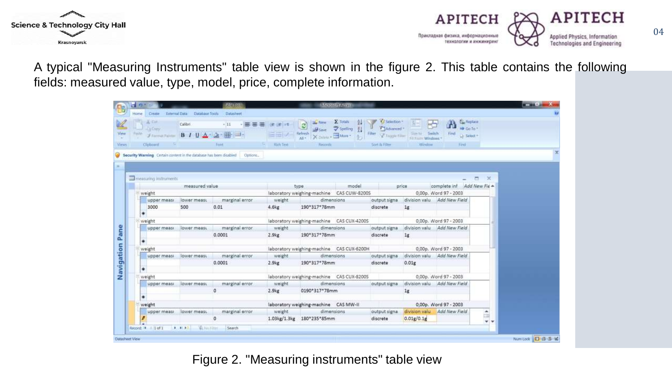



04

A typical "Measuring Instruments" table view is shown in the figure 2. This table contains the following fields: measured value, type, model, price, complete information.

| Formation B / U Artiz<br>14.1<br>The measuring instruments<br>measured value<br>upper measi<br>lower measu<br>500 | Font<br>Security Warning Certain content in the database has been disabled Options.<br>marginal error<br>0.01 | Alch Text: 11 11 11<br>weight                                                         | X Diling - More -<br>$AE +$<br>Recorrille<br>type.<br>laboratory weighing-machine  CAS CUW-82005 | model      | Sort ilu Filter                                                           | Filter Taggie Filter Sun für Switch<br>Window<br>price                                | complete inf Add New Fie +  | Le Select +<br>Find: 1<br>$\rightarrow$<br>$\blacksquare$                                |                                                            |  |
|-------------------------------------------------------------------------------------------------------------------|---------------------------------------------------------------------------------------------------------------|---------------------------------------------------------------------------------------|--------------------------------------------------------------------------------------------------|------------|---------------------------------------------------------------------------|---------------------------------------------------------------------------------------|-----------------------------|------------------------------------------------------------------------------------------|------------------------------------------------------------|--|
|                                                                                                                   |                                                                                                               |                                                                                       |                                                                                                  |            |                                                                           |                                                                                       |                             |                                                                                          |                                                            |  |
|                                                                                                                   |                                                                                                               |                                                                                       |                                                                                                  |            |                                                                           |                                                                                       |                             |                                                                                          |                                                            |  |
|                                                                                                                   |                                                                                                               |                                                                                       |                                                                                                  |            |                                                                           |                                                                                       |                             |                                                                                          |                                                            |  |
|                                                                                                                   |                                                                                                               |                                                                                       |                                                                                                  |            |                                                                           |                                                                                       |                             |                                                                                          |                                                            |  |
|                                                                                                                   |                                                                                                               |                                                                                       |                                                                                                  |            |                                                                           |                                                                                       |                             |                                                                                          |                                                            |  |
|                                                                                                                   |                                                                                                               |                                                                                       |                                                                                                  |            |                                                                           |                                                                                       |                             |                                                                                          |                                                            |  |
|                                                                                                                   |                                                                                                               |                                                                                       |                                                                                                  |            |                                                                           |                                                                                       | 0,00p. Word 97 - 2003       |                                                                                          |                                                            |  |
|                                                                                                                   |                                                                                                               |                                                                                       | dimensions                                                                                       |            | output signa.                                                             |                                                                                       | division valu Add New Field |                                                                                          |                                                            |  |
|                                                                                                                   |                                                                                                               | 4.6kg                                                                                 | 190*317*78mm                                                                                     |            | discrete                                                                  | 1g                                                                                    |                             |                                                                                          |                                                            |  |
|                                                                                                                   |                                                                                                               |                                                                                       |                                                                                                  |            |                                                                           |                                                                                       |                             |                                                                                          |                                                            |  |
| weight                                                                                                            |                                                                                                               |                                                                                       | laboratory weighing-machine CAS CUX-4200S                                                        |            |                                                                           | 0,00p. Word 97 - 2003                                                                 |                             |                                                                                          |                                                            |  |
| upper measu<br>lower measu                                                                                        | marginal error                                                                                                | weight                                                                                |                                                                                                  | dimensions | output signa                                                              |                                                                                       | division valu Add New Field |                                                                                          |                                                            |  |
|                                                                                                                   | 0.0001                                                                                                        | 2.9kg                                                                                 |                                                                                                  |            | discrete                                                                  | 1g                                                                                    |                             |                                                                                          |                                                            |  |
|                                                                                                                   |                                                                                                               |                                                                                       |                                                                                                  |            |                                                                           |                                                                                       |                             |                                                                                          |                                                            |  |
| weight                                                                                                            |                                                                                                               |                                                                                       |                                                                                                  |            |                                                                           |                                                                                       |                             |                                                                                          |                                                            |  |
| upper meast                                                                                                       |                                                                                                               |                                                                                       |                                                                                                  |            |                                                                           |                                                                                       |                             |                                                                                          |                                                            |  |
|                                                                                                                   |                                                                                                               |                                                                                       |                                                                                                  |            |                                                                           |                                                                                       |                             |                                                                                          |                                                            |  |
|                                                                                                                   |                                                                                                               |                                                                                       |                                                                                                  |            |                                                                           |                                                                                       |                             |                                                                                          |                                                            |  |
| weight<br>upper measi                                                                                             |                                                                                                               |                                                                                       |                                                                                                  |            |                                                                           |                                                                                       |                             |                                                                                          |                                                            |  |
|                                                                                                                   |                                                                                                               |                                                                                       |                                                                                                  |            |                                                                           |                                                                                       |                             |                                                                                          |                                                            |  |
|                                                                                                                   |                                                                                                               |                                                                                       |                                                                                                  |            |                                                                           |                                                                                       |                             |                                                                                          |                                                            |  |
| ۰<br>weight                                                                                                       |                                                                                                               |                                                                                       | laboratory weighing-machine CAS MW-II                                                            |            |                                                                           |                                                                                       |                             | 0,00p. Word 97 - 2003                                                                    |                                                            |  |
|                                                                                                                   |                                                                                                               |                                                                                       | dimensions                                                                                       |            | output signa                                                              |                                                                                       | division valu Add New Field | ۰                                                                                        |                                                            |  |
| upper measi lower measu                                                                                           | marginal error                                                                                                | weight                                                                                |                                                                                                  |            |                                                                           |                                                                                       |                             |                                                                                          |                                                            |  |
|                                                                                                                   |                                                                                                               | marginal error<br>lower measu<br>0.0001<br>marginal error<br>lower measu-<br>$\alpha$ | weight<br>2.9 <sub>kg</sub><br>weight<br>2.9 <sub>kg</sub>                                       |            | 190*317*78mm<br>dimensions<br>190*317*78mm<br>dimensions<br>0190*317*78mm | output signa<br>discrete<br>laboratory weighing-machine CAS CUX-8200S<br>output signa | 0.01 <sub>E</sub><br>1g     | laboratory weighing-machine CAS CUX-6200H 0,00p. Word 97 - 2003<br>0,00p. Word 97 - 2003 | division valu Add New Field<br>division valu Add New Field |  |

Figure 2. "Measuring instruments" table view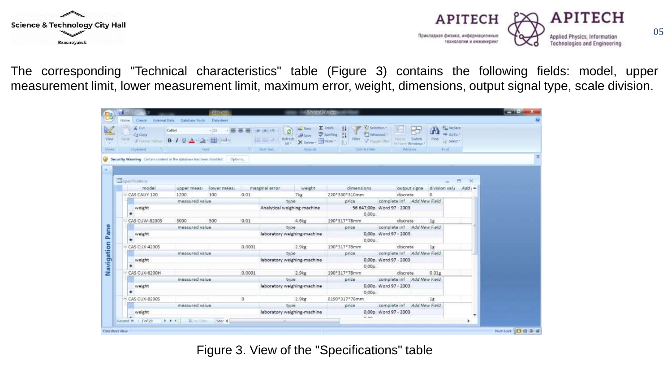



05

The corresponding "Technical characteristics" table (Figure 3) contains the following fields: model, upper measurement limit, lower measurement limit, maximum error, weight, dimensions, output signal type, scale division.

|  | Home.          | Cought.<br><b>External Data</b>                                              | Database Tools                     | Datachest.                                                     |          |                                                   |                               |                                  |                                                    |                                        |                                            |  |
|--|----------------|------------------------------------------------------------------------------|------------------------------------|----------------------------------------------------------------|----------|---------------------------------------------------|-------------------------------|----------------------------------|----------------------------------------------------|----------------------------------------|--------------------------------------------|--|
|  |                | $X$ Ciff:                                                                    | Calibri                            | -11 ・ 画番薯 ままけ                                                  |          |                                                   | <b><i>SELL TVIEW</i></b><br>B | E-Totals<br>24                   | XI Selection *                                     | بمليط                                  | <b>H<sub>as</sub></b> Replace<br>等 Ga Tu = |  |
|  |                | <b>SA Copy</b><br>$J$ runnar rainter $B$ $I$ U $A = 2$ .                     |                                    | History of the Second Second                                   |          | <b>E BILL</b><br>Refresh                          |                               | Spelling                         | * JAdvanced *<br>Titer V toppe time Sire to Switch | First $\omega$ Select +                |                                            |  |
|  |                |                                                                              |                                    |                                                                |          |                                                   | X Delete - SMare -<br>WE -    |                                  |                                                    |                                        |                                            |  |
|  |                | Ciphuard                                                                     | THE R. P. LEWIS CO., LANSING MICH. | <b>Fritt</b>                                                   |          | Rich Text                                         | <b>Hatterrilly</b>            | Seet & Filter                    |                                                    | Window<br>Find                         |                                            |  |
|  |                | Security Warning Certain content in the database has been disabled   Options |                                    |                                                                |          |                                                   |                               |                                  |                                                    |                                        |                                            |  |
|  |                |                                                                              |                                    |                                                                |          |                                                   |                               |                                  |                                                    |                                        |                                            |  |
|  |                |                                                                              |                                    |                                                                |          |                                                   |                               |                                  |                                                    |                                        |                                            |  |
|  |                | <b>III</b> specifications                                                    |                                    |                                                                |          |                                                   |                               |                                  |                                                    |                                        | - 26                                       |  |
|  |                | model                                                                        |                                    | upper measi lower measi marginal error weight                  |          |                                                   |                               | dimensions                       |                                                    | output signa                           | division valu Add +                        |  |
|  |                | CAS CAUY 120                                                                 | 1200                               | 100                                                            | 0.01     |                                                   | 7kg                           | 220*330*310mm                    | discrete                                           | $\Omega$                               |                                            |  |
|  | measured value |                                                                              |                                    | type<br>Analytical weighing-machine 56 647,00p. Word 97 - 2003 |          | price                                             |                               | complete inf Add New Field       |                                                    |                                        |                                            |  |
|  | weight.        |                                                                              |                                    |                                                                |          | $0.00p$ .                                         |                               |                                  |                                                    |                                        |                                            |  |
|  |                | CAS CUW-82005                                                                | 3000                               | 500                                                            | 0.01     |                                                   | 4.6kg                         | 190°317°78mm                     | discrete                                           | 18                                     |                                            |  |
|  |                |                                                                              | measured value                     |                                                                |          |                                                   | type                          |                                  |                                                    | price complete inf Add New Field       |                                            |  |
|  |                | weight.                                                                      |                                    |                                                                |          |                                                   | laboratory weighing-machine   |                                  | 0,00p. Word 97 - 2003                              |                                        |                                            |  |
|  |                |                                                                              |                                    |                                                                |          |                                                   |                               |                                  | 0.00p.                                             |                                        |                                            |  |
|  |                | <b>CAS CUX-4200S</b>                                                         |                                    |                                                                | 0.0001   |                                                   | $2.9$ <sub>kg</sub>           | 190*317*78mm                     | discrete                                           | 18                                     |                                            |  |
|  |                |                                                                              | measured value                     |                                                                |          |                                                   | type                          | price complete inf Add New Field |                                                    |                                        |                                            |  |
|  |                | weight                                                                       |                                    |                                                                |          | laboratory weighing-machine 0,00p. Word 97 - 2003 |                               |                                  |                                                    |                                        |                                            |  |
|  |                |                                                                              |                                    |                                                                |          |                                                   |                               |                                  | $0.00p$ .                                          |                                        |                                            |  |
|  |                | CAS CUX-6200H                                                                |                                    |                                                                | 0.0001   |                                                   | 2.9kg                         | 190°317°78mm                     | discrete                                           | 0.01g                                  |                                            |  |
|  |                |                                                                              | measured value                     |                                                                |          |                                                   | type                          | price                            |                                                    | complete inf Add New Field             |                                            |  |
|  |                | weight<br>۰                                                                  |                                    |                                                                |          |                                                   | laboratory weighing-machine   |                                  | 0,00p. Word 97 - 2003                              |                                        |                                            |  |
|  |                |                                                                              |                                    |                                                                |          |                                                   |                               |                                  | 0,00p.                                             |                                        |                                            |  |
|  |                | CAS CUX-8200S                                                                | measured value                     |                                                                | $\Omega$ |                                                   | $2.9k$ g<br>type              | 0190*317*78mm                    |                                                    | 18<br>price complete inf Add New Field |                                            |  |
|  |                | weight                                                                       |                                    |                                                                |          |                                                   | laboratory weighing-machine   |                                  | 0,00p. Word 97 - 2003                              |                                        |                                            |  |
|  |                |                                                                              |                                    |                                                                |          |                                                   |                               | and streets.                     |                                                    |                                        |                                            |  |

Figure 3. View of the "Specifications" table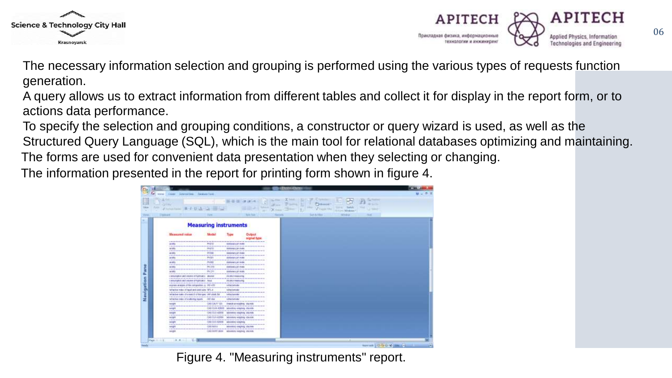



The necessary information selection and grouping is performed using the various types of requests function generation.

A query allows us to extract information from different tables and collect it for display in the report form, or to actions data performance.

To specify the selection and grouping conditions, a constructor or query wizard is used, as well as the Structured Query Language (SQL), which is the main tool for relational databases optimizing and maintaining. The forms are used for convenient data presentation when they selecting or changing.

The information presented in the report for printing form shown in figure 4.

| <b>MONTANY</b><br><b>CALLES</b><br>5,630<br><b>Transier</b><br><b>Views</b><br><b>Navigation Pane</b> |                                                                                                                                                                                                                                                                                                                                          |                                           |                                                                                                                                                                                                                                                                            | <b>RESIDENT FROM DES</b>                                          |                                                |                                                                                 |  |
|-------------------------------------------------------------------------------------------------------|------------------------------------------------------------------------------------------------------------------------------------------------------------------------------------------------------------------------------------------------------------------------------------------------------------------------------------------|-------------------------------------------|----------------------------------------------------------------------------------------------------------------------------------------------------------------------------------------------------------------------------------------------------------------------------|-------------------------------------------------------------------|------------------------------------------------|---------------------------------------------------------------------------------|--|
|                                                                                                       | Johnseithin  Baskare Tools<br>2.3448                                                                                                                                                                                                                                                                                                     |                                           |                                                                                                                                                                                                                                                                            |                                                                   |                                                |                                                                                 |  |
|                                                                                                       | 一日のおい日<br>Financial Fouriers                                                                                                                                                                                                                                                                                                             |                                           |                                                                                                                                                                                                                                                                            | <b>INFORM</b><br>m21<br>Total Ave.<br>19.440<br><b>Burn Steel</b> | <b>Caldwood</b><br>2 Form 1941<br>San & Cillum | Mr Sa Fer<br><b>Links</b><br><b>A frame Windows</b><br>Wildrich<br><b>TELES</b> |  |
|                                                                                                       |                                                                                                                                                                                                                                                                                                                                          |                                           |                                                                                                                                                                                                                                                                            | <b><i><u>Party Starts</u></i></b>                                 |                                                |                                                                                 |  |
|                                                                                                       | <b>Measuring instruments</b>                                                                                                                                                                                                                                                                                                             |                                           |                                                                                                                                                                                                                                                                            |                                                                   |                                                |                                                                                 |  |
|                                                                                                       | <b>Hassund value</b>                                                                                                                                                                                                                                                                                                                     | <b>Uku dad</b>                            | Turne                                                                                                                                                                                                                                                                      | <b>Output</b><br>signal type                                      |                                                |                                                                                 |  |
|                                                                                                       | to the characteristic development of the con-<br>Selector.<br>Laura Controlled All                                                                                                                                                                                                                                                       | $\cdots$<br>PHOTO-                        | distant and are distanced com-<br>statorary yrs mete                                                                                                                                                                                                                       |                                                                   |                                                |                                                                                 |  |
|                                                                                                       | the process of the first party of the control of the control of the control of the control of the con-<br>34,145c                                                                                                                                                                                                                        | PHUTE                                     | the reduced by the local control and control produced and a significant<br><b>Stallology 241 Frello</b>                                                                                                                                                                    |                                                                   |                                                |                                                                                 |  |
|                                                                                                       | professional construction of the<br>scotts                                                                                                                                                                                                                                                                                               | <b>CALL AND THE CALL</b><br><b>UNITED</b> | <b>Contract of the Contract of the American Product of the Contract</b><br>Ideobrary philosoph                                                                                                                                                                             |                                                                   |                                                |                                                                                 |  |
|                                                                                                       | and and control on the control of the first<br><b>MIRE</b>                                                                                                                                                                                                                                                                               | ---<br>PHODE                              | interesting to the last limit one of the complete development of the<br>stindamente juli incedes                                                                                                                                                                           |                                                                   |                                                |                                                                                 |  |
|                                                                                                       | ---<br>as sets                                                                                                                                                                                                                                                                                                                           | ---<br>PHIRT                              | and the state of the state of the con-<br><b>Illustratory</b> philosophe                                                                                                                                                                                                   |                                                                   |                                                |                                                                                 |  |
|                                                                                                       | A MORADE AND RESERVED FOR A REPORT OF A RESIDENCE OF A REPORT OF A RESIDENCE OF A REPORT OF A<br>38188/                                                                                                                                                                                                                                  | 神经数                                       | <b>IDENTIFY AFT PUBL</b>                                                                                                                                                                                                                                                   |                                                                   |                                                |                                                                                 |  |
|                                                                                                       | to the development of the control of the first of the development of the development of the control of the control of the con-<br>as taly<br>-----                                                                                                                                                                                       | 四日社                                       | <b>Marketway of Linder</b><br><b>A material contract of the contract of the contract</b>                                                                                                                                                                                   |                                                                   |                                                |                                                                                 |  |
|                                                                                                       | competed and receive of hydroatic - dramal                                                                                                                                                                                                                                                                                               |                                           | Also allocal consultants in the                                                                                                                                                                                                                                            |                                                                   |                                                |                                                                                 |  |
|                                                                                                       | or developments which was an activities to the computation<br>Lake Visions of Hills American Materials<br>THE REPORT OF REPORT OF A STATE OF A 24YO F. AND RELEASED FOR A 49YO F 20YO F 20YO F 20YO F 20YO F 20YO F 20YO F 20YO F 20YO F 20YO F 20YO F 20YO F 20YO F 20YO F 20YO F 20YO F 20YO F 20YO F 20YO F 20YO F 20YO F 20YO F 20YO |                                           | the party of the development case the company contract and the<br>AN DELT FORESAND                                                                                                                                                                                         |                                                                   |                                                |                                                                                 |  |
|                                                                                                       | express analysis of the composition is 193-470.<br>the declaration design for the change starting to send the control of                                                                                                                                                                                                                 |                                           | tehn/potate<br><b>CHARLES CARDS</b>                                                                                                                                                                                                                                        |                                                                   |                                                |                                                                                 |  |
|                                                                                                       | helitacity reduce of legal and used yours. 2011.4.<br>continuously at a way of the control with the first control of the books of the                                                                                                                                                                                                    |                                           | <b>Inchest towards</b>                                                                                                                                                                                                                                                     |                                                                   |                                                |                                                                                 |  |
|                                                                                                       | retailed make of a metion of the speci translate, but<br>The constitution of the device in the constitution of the constitution of the constitution of the constitution of the con-                                                                                                                                                      |                                           | <b>Hilling Subhistor</b>                                                                                                                                                                                                                                                   |                                                                   |                                                |                                                                                 |  |
|                                                                                                       | whacker cales of statemy reach 190-860<br>Collection of the term of the collection of the collection of the collection of the state of the collection of the collection of the collection of the collection of the collection of the collection of the collection of the                                                                 |                                           | <b>HEACLES</b>                                                                                                                                                                                                                                                             |                                                                   |                                                |                                                                                 |  |
|                                                                                                       | <b>Syndri</b><br>(instrumental colored into the factor                                                                                                                                                                                                                                                                                   |                                           | UAS-UAT 125 Analytical explores, discrete<br>a constitution of the constitution of the constitution of the constitution of the constitution of the constitution of the constitution of the constitution of the constitution of the constitution of the constitution of the |                                                                   |                                                |                                                                                 |  |
|                                                                                                       | minight<br><b>School School</b>                                                                                                                                                                                                                                                                                                          |                                           | CAR CUVI \$3000. Mondros engines decele-<br>allows and class top at an include book to see an accordance of the                                                                                                                                                            |                                                                   |                                                |                                                                                 |  |
|                                                                                                       | <b>AHUTT</b><br>218 Except should be in the development of the AL-AP ARAB Contract as the development of the contract of the contract of the con-                                                                                                                                                                                        |                                           | GAS COURSES INTERNATIONALLY AND SAFE                                                                                                                                                                                                                                       |                                                                   |                                                |                                                                                 |  |
|                                                                                                       | <b>SOME</b><br>on determined with the determined with the project of the medical control with behind one on the state                                                                                                                                                                                                                    |                                           | CAS COVALISTS Informing weights objected                                                                                                                                                                                                                                   |                                                                   |                                                |                                                                                 |  |
|                                                                                                       | oratt<br><b>STATISTICS</b>                                                                                                                                                                                                                                                                                                               |                                           | CAS-CUL 62033 Allerators systems<br><b>Continued for the property and continued by the continued of the continued by</b>                                                                                                                                                   |                                                                   |                                                |                                                                                 |  |
|                                                                                                       | <b>HAUTI</b><br>12 YEAR OLD A REPORT OF THE REPORT OF A REPORT OF A STATE OF A REPORT OF A REPORT OF A REPORT OF A REPORT OF A                                                                                                                                                                                                           | <b>CAS MALE</b>                           | MONTRYC EARLY TO CROSS                                                                                                                                                                                                                                                     |                                                                   |                                                |                                                                                 |  |
|                                                                                                       | <b>GELDS</b>                                                                                                                                                                                                                                                                                                                             |                                           | CAS-MVP) 2004   EDITERRI HISSVIC OSCILES                                                                                                                                                                                                                                   |                                                                   |                                                |                                                                                 |  |
| Page 11.11.11                                                                                         | 31.81                                                                                                                                                                                                                                                                                                                                    |                                           |                                                                                                                                                                                                                                                                            |                                                                   |                                                |                                                                                 |  |
| <b>Raads</b>                                                                                          |                                                                                                                                                                                                                                                                                                                                          |                                           |                                                                                                                                                                                                                                                                            |                                                                   |                                                |                                                                                 |  |

Figure 4. "Measuring instruments" report.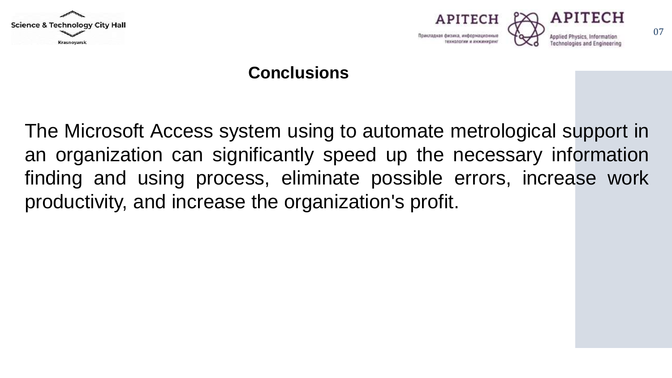



#### **Conclusions**

The Microsoft Access system using to automate metrological support in an organization can significantly speed up the necessary information finding and using process, eliminate possible errors, increase work productivity, and increase the organization's profit.